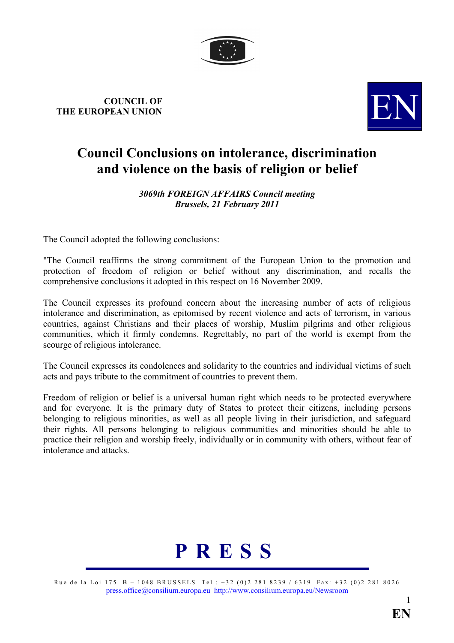

## COUNCIL OF COUNCIL OF THE EUROPEAN UNION



## Council Conclusions on intolerance, discrimination and violence on the basis of religion or belief

## 3069th FOREIGN AFFAIRS Council meeting Brussels, 21 February 2011

The Council adopted the following conclusions:

"The Council reaffirms the strong commitment of the European Union to the promotion and protection of freedom of religion or belief without any discrimination, and recalls the comprehensive conclusions it adopted in this respect on 16 November 2009.

The Council expresses its profound concern about the increasing number of acts of religious intolerance and discrimination, as epitomised by recent violence and acts of terrorism, in various countries, against Christians and their places of worship, Muslim pilgrims and other religious communities, which it firmly condemns. Regrettably, no part of the world is exempt from the scourge of religious intolerance.

The Council expresses its condolences and solidarity to the countries and individual victims of such acts and pays tribute to the commitment of countries to prevent them.

Freedom of religion or belief is a universal human right which needs to be protected everywhere and for everyone. It is the primary duty of States to protect their citizens, including persons belonging to religious minorities, as well as all people living in their jurisdiction, and safeguard their rights. All persons belonging to religious communities and minorities should be able to practice their religion and worship freely, individually or in community with others, without fear of intolerance and attacks.



Rue de la Loi 175 B – 1048 BRUSSELS Tel.: +32 (0)2 281 8239 / 6319 Fax: +32 (0)2 281 8026 [press.office@consilium.europa.eu](mailto:press.office@consilium.eu.int) [http://www.consilium.europa.eu/Newsroom](http://ue.eu.int/Newsroom)